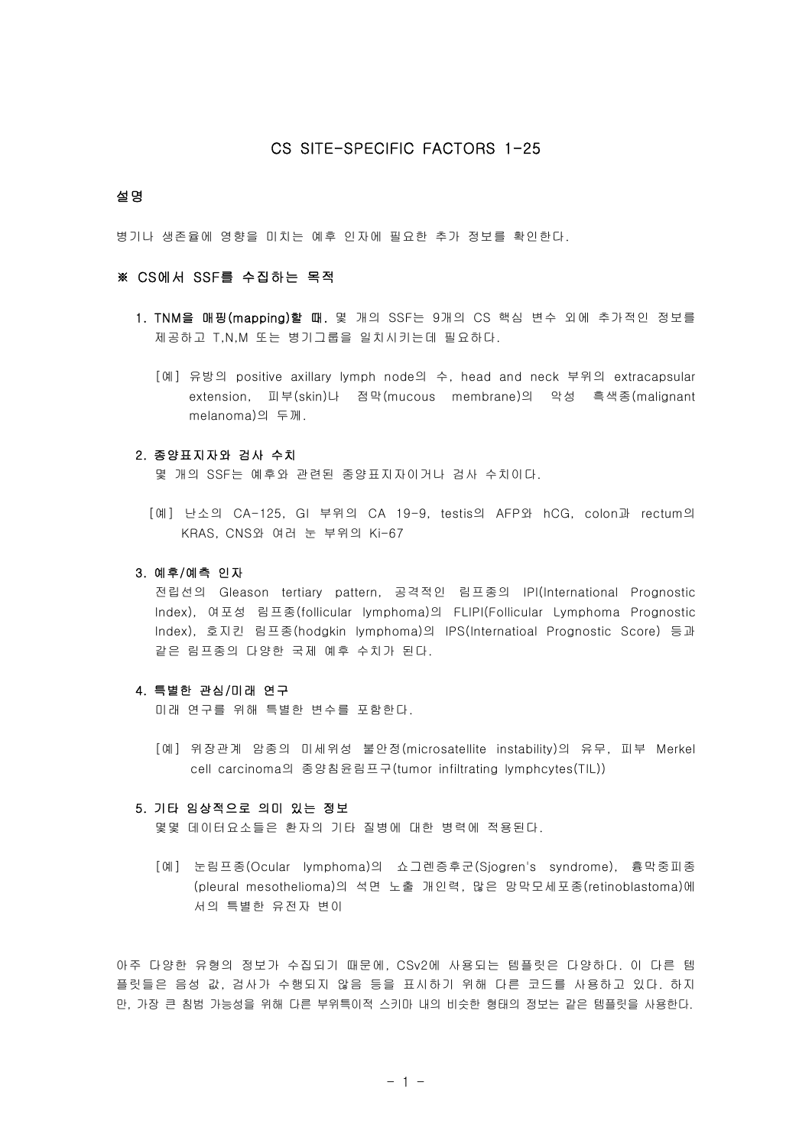# CS SITE-SPECIFIC FACTORS 1-25

### 설명

병기나 생존율에 영향을 미치는 예후 인자에 필요한 추가 정보를 확인한다.

# ※ CS에서 SSF를 수집하는 목적

- 1. TNM을 매핑(mapping)할 때. 몇 개의 SSF는 9개의 CS 핵심 변수 외에 추가적인 정보를 제공하고 T,N,M 또는 병기그룹을 일치시키는데 필요하다.
	- [예] 유방의 positive axillary lymph node의 수, head and neck 부위의 extracapsular extension, 피부(skin)나 점막(mucous membrane)의 악성 흑색종(malignant melanoma)의 두께.

## 2. 종양표지자와 검사 수치

몇 개의 SSF는 예후와 관련된 종양표지자이거나 검사 수치이다.

 [예] 난소의 CA-125, GI 부위의 CA 19-9, testis의 AFP와 hCG, colon과 rectum의 KRAS, CNS와 여러 눈 부위의 Ki-67

# 3. 예후/예측 인자

 전립선의 Gleason tertiary pattern, 공격적인 림프종의 IPI(International Prognostic Index), 여포성 림프종(follicular lymphoma)의 FLIPI(Follicular Lymphoma Prognostic Index), 호지킨 림프종(hodgkin lymphoma)의 IPS(Internatioal Prognostic Score) 등과 같은 림프종의 다양한 국제 예후 수치가 된다.

# 4. 특별한 관심/미래 연구

미래 연구를 위해 특별한 변수를 포함한다.

 [예] 위장관계 암종의 미세위성 불안정(microsatellite instability)의 유무, 피부 Merkel cell carcinoma의 종양침윤림프구(tumor infiltrating lymphcytes(TIL))

### 5. 기타 임상적으로 의미 있는 정보

몇몇 데이터요소들은 환자의 기타 질병에 대한 병력에 적용된다.

 [예] 눈림프종(Ocular lymphoma)의 쇼그렌증후군(Sjogren's syndrome), 흉막중피종 (pleural mesothelioma)의 석면 노출 개인력, 많은 망막모세포종(retinoblastoma)에 서의 특별한 유전자 변이

아주 다양한 유형의 정보가 수집되기 때문에, CSv2에 사용되는 템플릿은 다양하다. 이 다른 템 플릿들은 음성 값, 검사가 수행되지 않음 등을 표시하기 위해 다른 코드를 사용하고 있다. 하지 만, 가장 큰 침범 가능성을 위해 다른 부위특이적 스키마 내의 비슷한 형태의 정보는 같은 템플릿을 사용한다.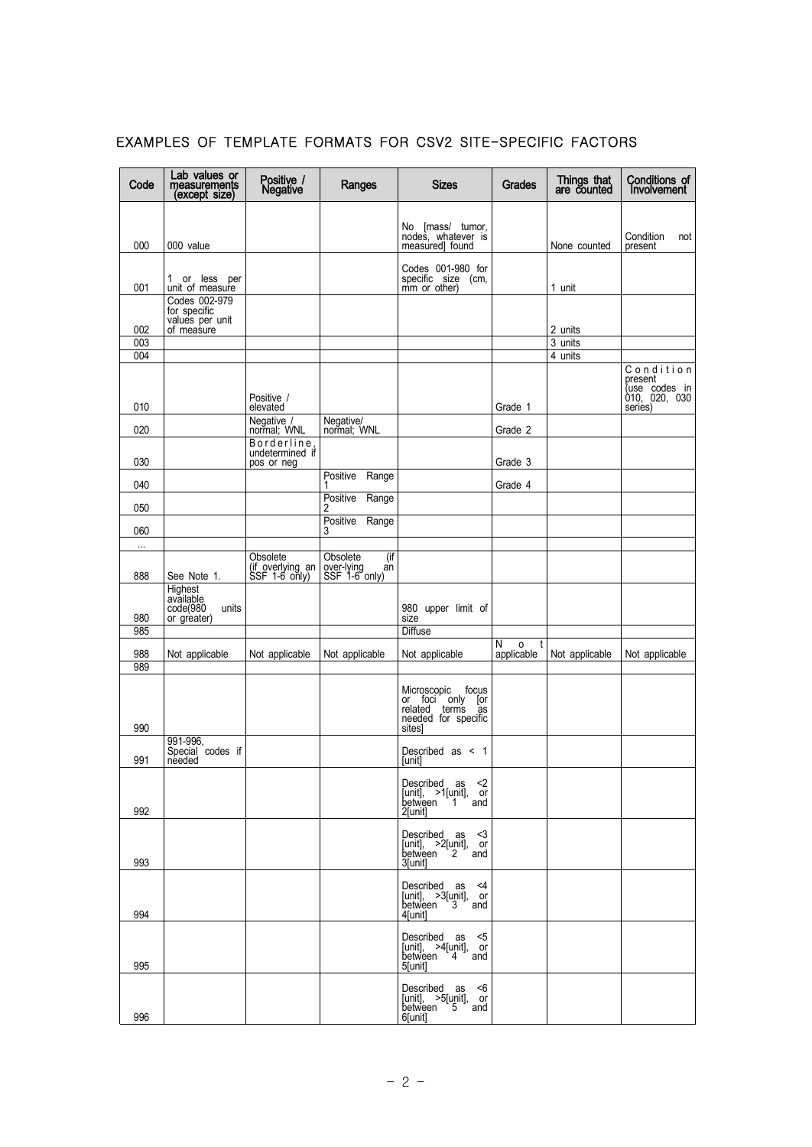| Code       | Lab values or<br>measurements<br>(except size)           | Positive /<br>Negative                        | Ranges                                               | <b>Sizes</b>                                                                  | Grades                    | Things that<br>are counted | Conditions of<br>Involvement                           |
|------------|----------------------------------------------------------|-----------------------------------------------|------------------------------------------------------|-------------------------------------------------------------------------------|---------------------------|----------------------------|--------------------------------------------------------|
|            |                                                          |                                               |                                                      |                                                                               |                           |                            |                                                        |
| 000        | 000 value                                                |                                               |                                                      | No [mass/ tumor,<br>nodes, whatever is<br>measured] found                     |                           | None counted               | Condition<br>not<br>present                            |
|            | 1 or less per                                            |                                               |                                                      | Codes 001-980 for<br>specific size (cm,                                       |                           |                            |                                                        |
| 001        | unit of measure<br>Codes 002-979                         |                                               |                                                      | mm or other)                                                                  |                           | 1 unit                     |                                                        |
| 002        | for specific<br>values per unit<br>of measure            |                                               |                                                      |                                                                               |                           | 2 units                    |                                                        |
| 003        |                                                          |                                               |                                                      |                                                                               |                           | 3 units                    |                                                        |
| 004        |                                                          |                                               |                                                      |                                                                               |                           | 4 units                    |                                                        |
|            |                                                          | Positive /                                    |                                                      |                                                                               |                           |                            | Condition<br>present<br>(use codes in<br>010, 020, 030 |
| 010        |                                                          | elevated                                      |                                                      |                                                                               | Grade 1                   |                            | series)                                                |
| 020        |                                                          | Negative /<br>normal; WNL                     | Negative/<br>normal; WNL                             |                                                                               | Grade 2                   |                            |                                                        |
| 030        |                                                          | Borderline,<br>undetermined if<br>pos or neg  |                                                      |                                                                               | Grade 3                   |                            |                                                        |
| 040        |                                                          |                                               | Positive<br>Range<br>1                               |                                                                               | Grade 4                   |                            |                                                        |
| 050        |                                                          |                                               | Positive<br>Range<br>2                               |                                                                               |                           |                            |                                                        |
| 060        |                                                          |                                               | Positive Range<br>3                                  |                                                                               |                           |                            |                                                        |
| $\ldots$   |                                                          |                                               |                                                      |                                                                               |                           |                            |                                                        |
| 888        | See Note 1.                                              | Obsolete<br>(if overlying an<br>SSF 1-6 only) | (if<br>Obsolete<br>over-lying<br>an<br>SSF 1-6 only) |                                                                               |                           |                            |                                                        |
| 980        | Highest<br>available<br>code(980<br>or greater)<br>units |                                               |                                                      | 980 upper limit of<br>size                                                    |                           |                            |                                                        |
| 985        |                                                          |                                               |                                                      | <b>Diffuse</b>                                                                |                           |                            |                                                        |
| 988<br>989 | Not applicable                                           | Not applicable                                | Not applicable                                       | Not applicable                                                                | N<br>t<br>0<br>applicable | Not applicable             | Not applicable                                         |
| 990        |                                                          |                                               |                                                      | Microscopic focus<br>or foci only [or related terms as<br>needed for specific |                           |                            |                                                        |
|            | 991-996,                                                 |                                               |                                                      | sites]                                                                        |                           |                            |                                                        |
| 991        | Special codes if<br>needed                               |                                               |                                                      | Described as < 1<br>[unit]                                                    |                           |                            |                                                        |
| 992        |                                                          |                                               |                                                      | Described as<br>- <2<br>[unit], >1[unit], or<br>between 1 and<br>2[unit]      |                           |                            |                                                        |
| 993        |                                                          |                                               |                                                      | Described as <3<br>$[unit],$ >2 $[unit],$ or<br>between 2 and<br>3[unit]      |                           |                            |                                                        |
| 994        |                                                          |                                               |                                                      | Described as <4<br>[unit], >3[unit], or<br>between 3 and<br>4[unit]           |                           |                            |                                                        |
| 995        |                                                          |                                               |                                                      | Described as <5<br>[unit], >4[unit], or<br>between 4 and<br>5[unit]           |                           |                            |                                                        |
| 996        |                                                          |                                               |                                                      | Described as <6<br>[unit], >5[unit], or<br>between 5 and<br>6[unit]           |                           |                            |                                                        |

# EXAMPLES OF TEMPLATE FORMATS FOR CSV2 SITE-SPECIFIC FACTORS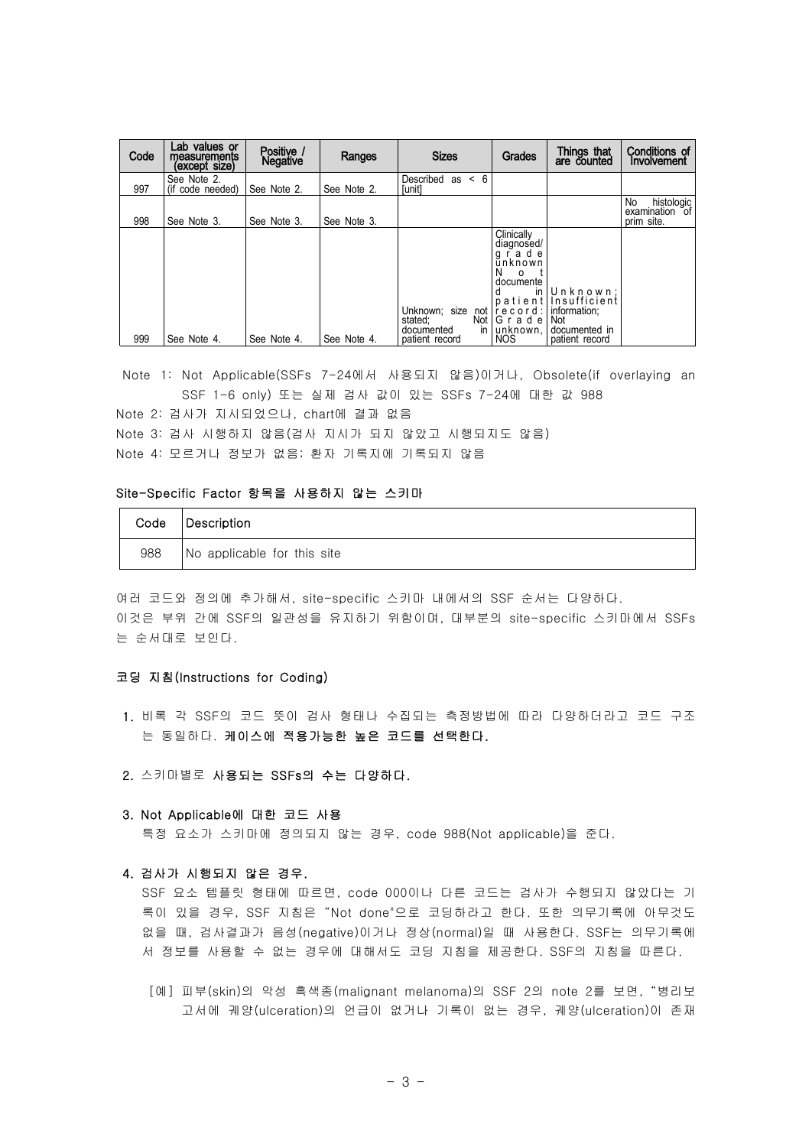| Code | Lab values or<br>measurements<br>(except size) | Positive /<br><b>Negative</b> | Ranges      | <b>Sizes</b>                                        | Grades                                                                                                                | Things that<br>are counted                                                 | Conditions of<br>Involvement                         |
|------|------------------------------------------------|-------------------------------|-------------|-----------------------------------------------------|-----------------------------------------------------------------------------------------------------------------------|----------------------------------------------------------------------------|------------------------------------------------------|
| 997  | See Note 2.<br>(if code needed)                | See Note 2.                   | See Note 2. | < 6<br>Described<br>as<br>[unit]                    |                                                                                                                       |                                                                            |                                                      |
| 998  | See Note 3.                                    | See Note 3.                   | See Note 3. |                                                     |                                                                                                                       |                                                                            | histologic<br>No.<br>examination<br>0t<br>prim site. |
|      |                                                |                               |             | Unknown; size<br>not<br>stated;<br>documented<br>in | Clinically<br>diagnosed/<br>grade<br>ūnknown<br>N<br>$\Omega$<br>documente<br>in<br>line<br>Not G r a d e<br>unknown, | Unknown:<br>patient [Insufficient]<br>information:<br>Not<br>documented in |                                                      |
| 999  | See Note 4.                                    | See Note 4.                   | See Note 4. | patient record                                      | <b>NOS</b>                                                                                                            | patient record                                                             |                                                      |

Note 1: Not Applicable(SSFs 7-24에서 사용되지 않음)이거나, Obsolete(if overlaying an SSF 1-6 only) 또는 실제 검사 값이 있는 SSFs 7-24에 대한 값 988 Note 2: 검사가 지시되었으나, chart에 결과 없음

Note 3: 검사 시행하지 않음(검사 지시가 되지 않았고 시행되지도 않음) Note 4: 모르거나 정보가 없음; 환자 기록지에 기록되지 않음

### Site-Specific Factor 항목을 사용하지 않는 스키마

| Code | Description                  |  |  |  |
|------|------------------------------|--|--|--|
| 988  | INo applicable for this site |  |  |  |

여러 코드와 정의에 추가해서, site-specific 스키마 내에서의 SSF 순서는 다양하다. 이것은 부위 간에 SSF의 일관성을 유지하기 위함이며, 대부분의 site-specific 스키마에서 SSFs 는 순서대로 보인다.

# 코딩 지침(Instructions for Coding)

- 1. 비록 각 SSF의 코드 뜻이 검사 형태나 수집되는 측정방법에 따라 다양하더라고 코드 구조 는 동일하다. 케이스에 적용가능한 높은 코드를 선택한다.
- 2. 스키마별로 사용되는 SSFs의 수는 다양하다.
- 3. Not Applicable에 대한 코드 사용

특정 요소가 스키마에 정의되지 않는 경우, code 988(Not applicable)을 준다.

### 4. 검사가 시행되지 않은 경우.

 SSF 요소 템플릿 형태에 따르면, code 000이나 다른 코드는 검사가 수행되지 않았다는 기 록이 있을 경우, SSF 지침은 "Not done"으로 코딩하라고 한다. 또한 의무기록에 아무것도 없을 때, 검사결과가 음성(negative)이거나 정상(normal)일 때 사용한다. SSF는 의무기록에 서 정보를 사용할 수 없는 경우에 대해서도 코딩 지침을 제공한다. SSF의 지침을 따른다.

 [예] 피부(skin)의 악성 흑색종(malignant melanoma)의 SSF 2의 note 2를 보면, "병리보 고서에 궤양(ulceration)의 언급이 없거나 기록이 없는 경우, 궤양(ulceration)이 존재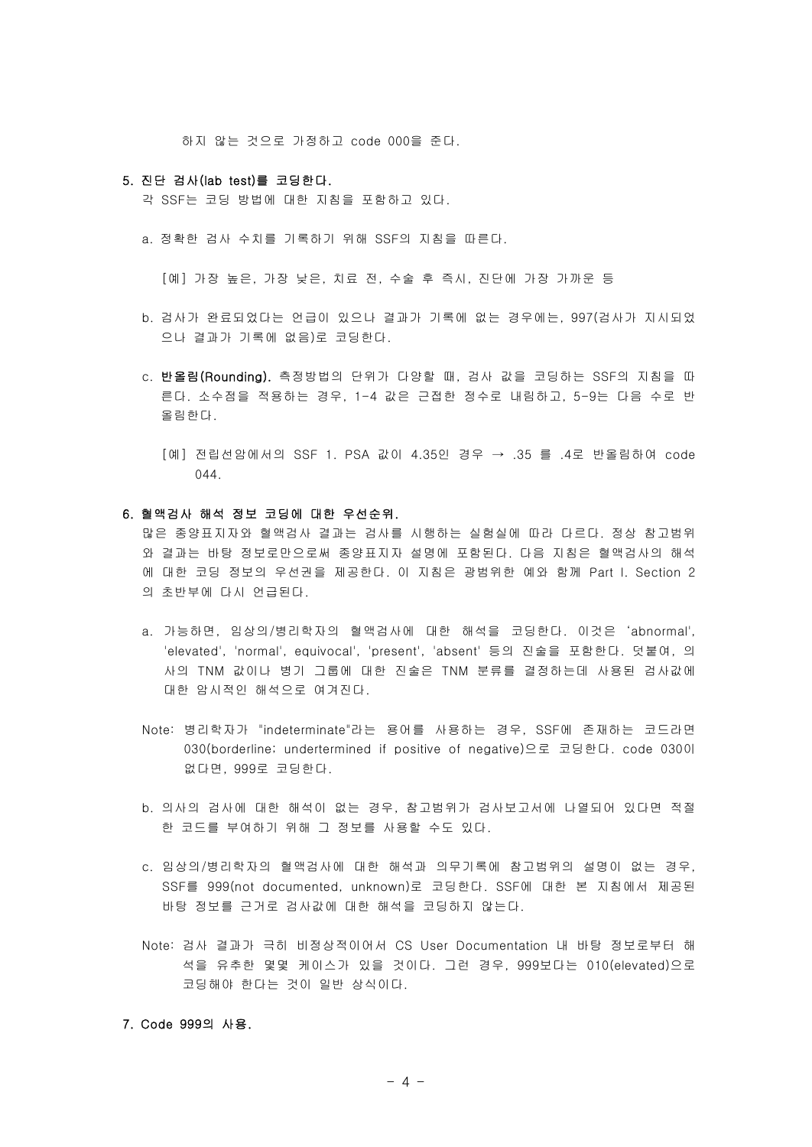하지 않는 것으로 가정하고 code 000을 준다.

### 5. 진단 검사(lab test)를 코딩한다.

각 SSF는 코딩 방법에 대한 지침을 포함하고 있다.

a. 정확한 검사 수치를 기록하기 위해 SSF의 지침을 따른다.

[예] 가장 높은, 가장 낮은, 치료 전, 수술 후 즉시, 진단에 가장 가까운 등

- b. 검사가 완료되었다는 언급이 있으나 결과가 기록에 없는 경우에는, 997(검사가 지시되었 으나 결과가 기록에 없음)로 코딩한다.
- c. 반올림(Rounding). 측정방법의 단위가 다양할 때, 검사 값을 코딩하는 SSF의 지침을 따 른다. 소수점을 적용하는 경우, 1-4 값은 근접한 정수로 내림하고, 5-9는 다음 수로 반 올림한다.
	- [예] 전립선암에서의 SSF 1. PSA 값이 4.35인 경우 → .35 를 .4로 반올림하여 code 044.

### 6. 혈액검사 해석 정보 코딩에 대한 우선순위.

 많은 종양표지자와 혈액검사 결과는 검사를 시행하는 실험실에 따라 다르다. 정상 참고범위 와 결과는 바탕 정보로만으로써 종양표지자 설명에 포함된다. 다음 지침은 혈액검사의 해석 에 대한 코딩 정보의 우선권을 제공한다. 이 지침은 광범위한 예와 함께 Part I. Section 2 의 초반부에 다시 언급된다.

- a. 가능하면, 임상의/병리학자의 혈액검사에 대한 해석을 코딩한다. 이것은 'abnormal', 'elevated', 'normal', equivocal', 'present', 'absent' 등의 진술을 포함한다. 덧붙여, 의 사의 TNM 값이나 병기 그룹에 대한 진술은 TNM 분류를 결정하는데 사용된 검사값에 대한 암시적인 해석으로 여겨진다.
- Note: 병리학자가 "indeterminate"라는 용어를 사용하는 경우, SSF에 존재하는 코드라면 030(borderline; undertermined if positive of negative)으로 코딩한다. code 030이 없다면, 999로 코딩한다.
- b. 의사의 검사에 대한 해석이 없는 경우, 참고범위가 검사보고서에 나열되어 있다면 적절 한 코드를 부여하기 위해 그 정보를 사용할 수도 있다.
- c. 임상의/병리학자의 혈액검사에 대한 해석과 의무기록에 참고범위의 설명이 없는 경우,<br>SSF를 999(not documented, unknown)로 코딩한다. SSF에 대한 본 지침에서 제공된 바탕 정보를 근거로 검사값에 대한 해석을 코딩하지 않는다.
- Note: 검사 결과가 극히 비정상적이어서 CS User Documentation 내 바탕 정보로부터 해 석을 유추한 몇몇 케이스가 있을 것이다. 그런 경우, 999보다는 010(elevated)으로 코딩해야 한다는 것이 일반 상식이다.

# 7. Code 999의 사용.